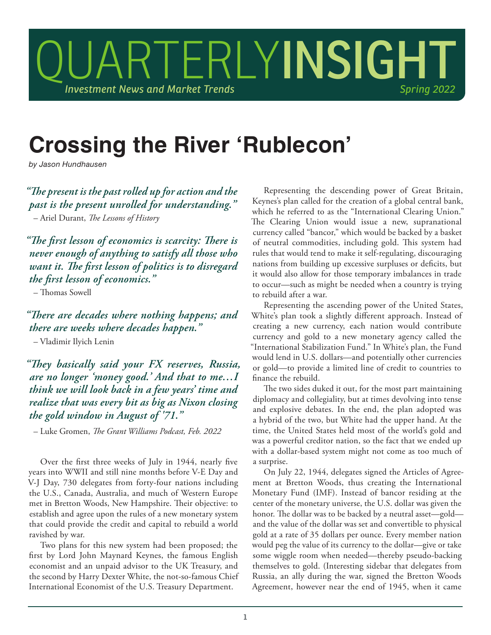

## **Crossing the River 'Rublecon'**

*by Jason Hundhausen*

*"The present is the past rolled up for action and the past is the present unrolled for understanding."*  – Ariel Durant, *The Lessons of History*

*"The first lesson of economics is scarcity: There is never enough of anything to satisfy all those who want it. The first lesson of politics is to disregard the first lesson of economics."* 

– Thomas Sowell

*"There are decades where nothing happens; and there are weeks where decades happen."*  – Vladimir Ilyich Lenin

*"They basically said your FX reserves, Russia, are no longer 'money good.' And that to me…I think we will look back in a few years' time and realize that was every bit as big as Nixon closing the gold window in August of '71."* 

– Luke Gromen, *The Grant Williams Podcast, Feb. 2022*

Over the first three weeks of July in 1944, nearly five years into WWII and still nine months before V-E Day and V-J Day, 730 delegates from forty-four nations including the U.S., Canada, Australia, and much of Western Europe met in Bretton Woods, New Hampshire. Their objective: to establish and agree upon the rules of a new monetary system that could provide the credit and capital to rebuild a world ravished by war.

Two plans for this new system had been proposed; the first by Lord John Maynard Keynes, the famous English economist and an unpaid advisor to the UK Treasury, and the second by Harry Dexter White, the not-so-famous Chief International Economist of the U.S. Treasury Department.

Representing the descending power of Great Britain, Keynes's plan called for the creation of a global central bank, which he referred to as the "International Clearing Union." The Clearing Union would issue a new, supranational currency called "bancor," which would be backed by a basket of neutral commodities, including gold. This system had rules that would tend to make it self-regulating, discouraging nations from building up excessive surpluses or deficits, but it would also allow for those temporary imbalances in trade to occur—such as might be needed when a country is trying to rebuild after a war.

Representing the ascending power of the United States, White's plan took a slightly different approach. Instead of creating a new currency, each nation would contribute currency and gold to a new monetary agency called the "International Stabilization Fund." In White's plan, the Fund would lend in U.S. dollars—and potentially other currencies or gold—to provide a limited line of credit to countries to finance the rebuild.

The two sides duked it out, for the most part maintaining diplomacy and collegiality, but at times devolving into tense and explosive debates. In the end, the plan adopted was a hybrid of the two, but White had the upper hand. At the time, the United States held most of the world's gold and was a powerful creditor nation, so the fact that we ended up with a dollar-based system might not come as too much of a surprise.

On July 22, 1944, delegates signed the Articles of Agreement at Bretton Woods, thus creating the International Monetary Fund (IMF). Instead of bancor residing at the center of the monetary universe, the U.S. dollar was given the honor. The dollar was to be backed by a neutral asset—gold and the value of the dollar was set and convertible to physical gold at a rate of 35 dollars per ounce. Every member nation would peg the value of its currency to the dollar—give or take some wiggle room when needed—thereby pseudo-backing themselves to gold. (Interesting sidebar that delegates from Russia, an ally during the war, signed the Bretton Woods Agreement, however near the end of 1945, when it came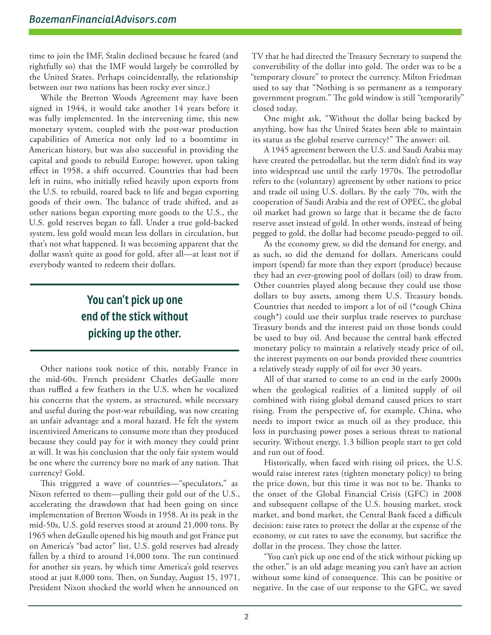time to join the IMF, Stalin declined because he feared (and rightfully so) that the IMF would largely be controlled by the United States. Perhaps coincidentally, the relationship between our two nations has been rocky ever since.)

While the Bretton Woods Agreement may have been signed in 1944, it would take another 14 years before it was fully implemented. In the intervening time, this new monetary system, coupled with the post-war production capabilities of America not only led to a boomtime in American history, but was also successful in providing the capital and goods to rebuild Europe; however, upon taking effect in 1958, a shift occurred. Countries that had been left in ruins, who initially relied heavily upon exports from the U.S. to rebuild, roared back to life and began exporting goods of their own. The balance of trade shifted, and as other nations began exporting more goods to the U.S., the U.S. gold reserves began to fall. Under a true gold-backed system, less gold would mean less dollars in circulation, but that's not what happened. It was becoming apparent that the dollar wasn't quite as good for gold, after all—at least not if everybody wanted to redeem their dollars.

## **You can't pick up one end of the stick without picking up the other.**

Other nations took notice of this, notably France in the mid-60s. French president Charles deGaulle more than ruffled a few feathers in the U.S. when he vocalized his concerns that the system, as structured, while necessary and useful during the post-war rebuilding, was now creating an unfair advantage and a moral hazard. He felt the system incentivized Americans to consume more than they produced because they could pay for it with money they could print at will. It was his conclusion that the only fair system would be one where the currency bore no mark of any nation. That currency? Gold.

This triggered a wave of countries—"speculators," as Nixon referred to them—pulling their gold out of the U.S., accelerating the drawdown that had been going on since implementation of Bretton Woods in 1958. At its peak in the mid-50s, U.S. gold reserves stood at around 21,000 tons. By 1965 when deGaulle opened his big mouth and got France put on America's "bad actor" list, U.S. gold reserves had already fallen by a third to around 14,000 tons. The run continued for another six years, by which time America's gold reserves stood at just 8,000 tons. Then, on Sunday, August 15, 1971, President Nixon shocked the world when he announced on

TV that he had directed the Treasury Secretary to suspend the convertibility of the dollar into gold. The order was to be a "temporary closure" to protect the currency. Milton Friedman used to say that "Nothing is so permanent as a temporary government program." The gold window is still "temporarily" closed today.

One might ask, "Without the dollar being backed by anything, how has the United States been able to maintain its status as the global reserve currency?" The answer: oil.

A 1945 agreement between the U.S. and Saudi Arabia may have created the petrodollar, but the term didn't find its way into widespread use until the early 1970s. The petrodollar refers to the (voluntary) agreement by other nations to price and trade oil using U.S. dollars. By the early '70s, with the cooperation of Saudi Arabia and the rest of OPEC, the global oil market had grown so large that it became the de facto reserve asset instead of gold. In other words, instead of being pegged to gold, the dollar had become pseudo-pegged to oil.

As the economy grew, so did the demand for energy, and as such, so did the demand for dollars. Americans could import (spend) far more than they export (produce) because they had an ever-growing pool of dollars (oil) to draw from. Other countries played along because they could use those dollars to buy assets, among them U.S. Treasury bonds. Countries that needed to import a lot of oil (\*cough China cough\*) could use their surplus trade reserves to purchase Treasury bonds and the interest paid on those bonds could be used to buy oil. And because the central bank effected monetary policy to maintain a relatively steady price of oil, the interest payments on our bonds provided these countries a relatively steady supply of oil for over 30 years.

All of that started to come to an end in the early 2000s when the geological realities of a limited supply of oil combined with rising global demand caused prices to start rising. From the perspective of, for example, China, who needs to import twice as much oil as they produce, this loss in purchasing power poses a serious threat to national security. Without energy, 1.3 billion people start to get cold and run out of food.

Historically, when faced with rising oil prices, the U.S. would raise interest rates (tighten monetary policy) to bring the price down, but this time it was not to be. Thanks to the onset of the Global Financial Crisis (GFC) in 2008 and subsequent collapse of the U.S. housing market, stock market, and bond market, the Central Bank faced a difficult decision: raise rates to protect the dollar at the expense of the economy, or cut rates to save the economy, but sacrifice the dollar in the process. They chose the latter.

"You can't pick up one end of the stick without picking up the other," is an old adage meaning you can't have an action without some kind of consequence. This can be positive or negative. In the case of our response to the GFC, we saved